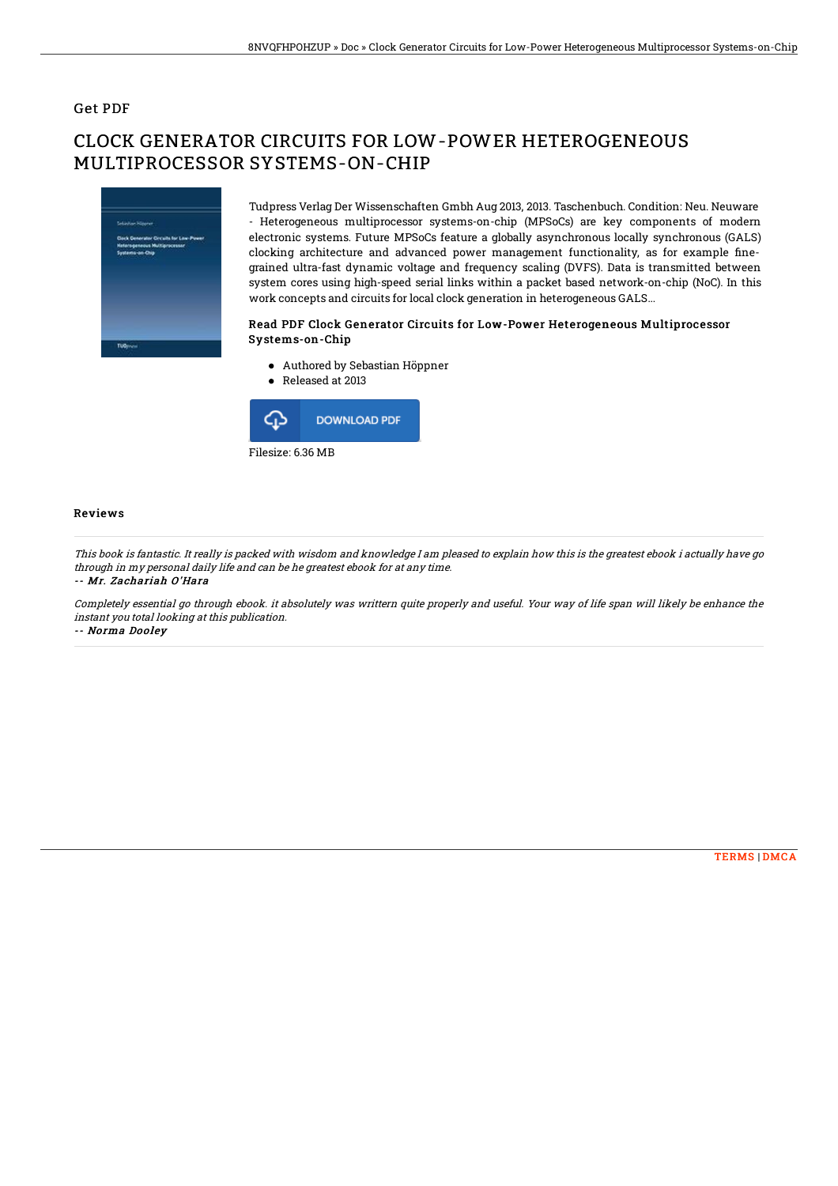### Get PDF

# CLOCK GENERATOR CIRCUITS FOR LOW-POWER HETEROGENEOUS MULTIPROCESSOR SYSTEMS-ON-CHIP



Tudpress Verlag Der Wissenschaften Gmbh Aug 2013, 2013. Taschenbuch. Condition: Neu. Neuware - Heterogeneous multiprocessor systems-on-chip (MPSoCs) are key components of modern electronic systems. Future MPSoCs feature a globally asynchronous locally synchronous (GALS) clocking architecture and advanced power management functionality, as for example finegrained ultra-fast dynamic voltage and frequency scaling (DVFS). Data is transmitted between system cores using high-speed serial links within a packet based network-on-chip (NoC). In this work concepts and circuits for local clock generation in heterogeneous GALS...

#### Read PDF Clock Generator Circuits for Low-Power Heterogeneous Multiprocessor Systems-on-Chip

- Authored by Sebastian Höppner
- Released at 2013



#### Reviews

This book is fantastic. It really is packed with wisdom and knowledge I am pleased to explain how this is the greatest ebook i actually have go through in my personal daily life and can be he greatest ebook for at any time.

-- Mr. Zachariah O'Hara

Completely essential go through ebook. it absolutely was writtern quite properly and useful. Your way of life span will likely be enhance the instant you total looking at this publication.

-- Norma Dooley